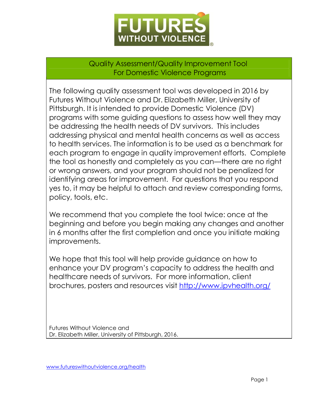

Quality Assessment/Quality Improvement Tool For Domestic Violence Programs

The following quality assessment tool was developed in 2016 by Futures Without Violence and Dr. Elizabeth Miller, University of Pittsburgh. It is intended to provide Domestic Violence (DV) programs with some guiding questions to assess how well they may be addressing the health needs of DV survivors. This includes addressing physical and mental health concerns as well as access to health services. The information is to be used as a benchmark for each program to engage in quality improvement efforts. Complete the tool as honestly and completely as you can—there are no right or wrong answers, and your program should not be penalized for identifying areas for improvement. For questions that you respond yes to, it may be helpful to attach and review corresponding forms, policy, tools, etc.

We recommend that you complete the tool twice: once at the beginning and before you begin making any changes and another in 6 months after the first completion and once you initiate making improvements.

We hope that this tool will help provide guidance on how to enhance your DV program's capacity to address the health and healthcare needs of survivors. For more information, client brochures, posters and resources visit<http://www.ipvhealth.org/>

Futures Without Violence and Dr. Elizabeth Miller, University of Pittsburgh, 2016.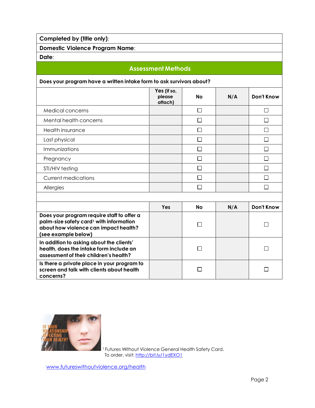**Completed by (title only)**:

**Domestic Violence Program Name**:

**Date**:

## **Assessment Methods**

## **Does your program have a written intake form to ask survivors about?**

|                            | Yes (if so,<br>please<br>attach) | No | N/A | <b>Don't Know</b> |
|----------------------------|----------------------------------|----|-----|-------------------|
| Medical concerns           |                                  | П  |     |                   |
| Mental health concerns     |                                  |    |     |                   |
| Health insurance           |                                  |    |     |                   |
| Last physical              |                                  | П  |     |                   |
| Immunizations              |                                  | П  |     |                   |
| Pregnancy                  |                                  |    |     |                   |
| STI/HIV testing            |                                  |    |     |                   |
| <b>Current medications</b> |                                  |    |     |                   |
| Allergies                  |                                  |    |     |                   |
|                            |                                  |    |     |                   |

|                                                                                                                                                                   | Yes | <b>No</b> | N/A | Don't Know |
|-------------------------------------------------------------------------------------------------------------------------------------------------------------------|-----|-----------|-----|------------|
| Does your program require staff to offer a<br>palm-size safety card <sup>1</sup> with information<br>about how violence can impact health?<br>(see example below) |     |           |     |            |
| In addition to asking about the clients'<br>health, does the intake form include an<br>assessment of their children's health?                                     |     |           |     |            |
| Is there a private place in your program to<br>screen and talk with clients about health<br>concerns?                                                             |     |           |     |            |



<sup>1</sup> Futures Without Violence General Health Safety Card. To order, visit: <u><http://bit.ly/1ydEXO1></u>

[www.futureswithoutviolence.org/health](http://www.futureswithoutviolence.org/health)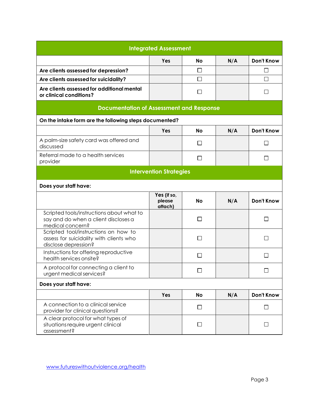| <b>Integrated Assessment</b>                                                                            |                                  |           |     |                   |  |
|---------------------------------------------------------------------------------------------------------|----------------------------------|-----------|-----|-------------------|--|
|                                                                                                         | Yes                              | <b>No</b> | N/A | <b>Don't Know</b> |  |
| Are clients assessed for depression?                                                                    |                                  | □         |     | П                 |  |
| Are clients assessed for suicidality?                                                                   |                                  | □         |     | П                 |  |
| Are clients assessed for additional mental<br>or clinical conditions?                                   |                                  | $\Box$    |     | П                 |  |
| <b>Documentation of Assessment and Response</b>                                                         |                                  |           |     |                   |  |
| On the intake form are the following steps documented?                                                  |                                  |           |     |                   |  |
|                                                                                                         | Yes                              | <b>No</b> | N/A | <b>Don't Know</b> |  |
| A palm-size safety card was offered and<br>discussed                                                    |                                  | □         |     | П                 |  |
| Referral made to a health services<br>provider                                                          |                                  | $\Box$    |     | ΙI                |  |
|                                                                                                         | <b>Intervention Strategies</b>   |           |     |                   |  |
| Does your staff have:                                                                                   |                                  |           |     |                   |  |
|                                                                                                         | Yes (if so,<br>please<br>attach) | <b>No</b> | N/A | Don't Know        |  |
| Scripted tools/instructions about what to<br>say and do when a client discloses a<br>medical concern?   |                                  | П         |     | П                 |  |
| Scripted tool/instructions on how to<br>assess for suicidality with clients who<br>disclose depression? |                                  | □         |     | $\Box$            |  |
| Instructions for offering reproductive<br>health services onsite?                                       |                                  | □         |     | U                 |  |
| A protocol for connecting a client to<br>urgent medical services?                                       |                                  | ⊔         |     | $\Box$            |  |
| Does your staff have:                                                                                   |                                  |           |     |                   |  |
|                                                                                                         | Yes                              | No        | N/A | <b>Don't Know</b> |  |
| A connection to a clinical service<br>provider for clinical questions?                                  |                                  | $\Box$    |     | □                 |  |
| A clear protocol for what types of<br>situations require urgent clinical<br>assessment?                 |                                  | □         |     | П                 |  |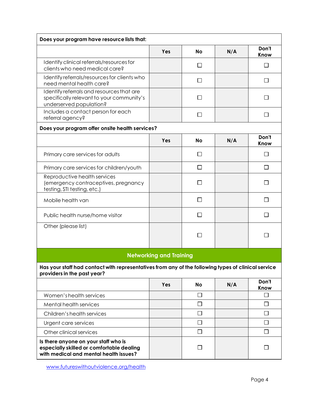| Does your program have resource lists that:                                                                                        |                                |              |     |               |
|------------------------------------------------------------------------------------------------------------------------------------|--------------------------------|--------------|-----|---------------|
|                                                                                                                                    | Yes                            | <b>No</b>    | N/A | Don't<br>Know |
| Identify clinical referrals/resources for<br>clients who need medical care?                                                        |                                | □            |     | $\mathsf{L}$  |
| Identify referrals/resources for clients who<br>need mental health care?                                                           |                                | П            |     | $\mathsf{L}$  |
| Identify referrals and resources that are<br>specifically relevant to your community's<br>underserved population?                  |                                | $\mathsf{L}$ |     |               |
| Includes a contact person for each<br>referral agency?                                                                             |                                | П            |     |               |
| Does your program offer onsite health services?                                                                                    |                                |              |     |               |
|                                                                                                                                    | Yes                            | <b>No</b>    | N/A | Don't<br>Know |
| Primary care services for adults                                                                                                   |                                | $\mathsf{L}$ |     |               |
| Primary care services for children/youth                                                                                           |                                | П            |     | $\mathsf{L}$  |
| Reproductive health services<br>(emergency contraceptives, pregnancy<br>testing, STI testing, etc.)                                |                                | $\mathsf{L}$ |     |               |
| Mobile health van                                                                                                                  |                                | П            |     |               |
| Public health nurse/home visitor                                                                                                   |                                | Π            |     |               |
| Other (please list)                                                                                                                |                                | $\Box$       |     |               |
|                                                                                                                                    | <b>Networking and Training</b> |              |     |               |
| Has your staff had contact with representatives from any of the following types of clinical service<br>providers in the past year? |                                |              |     |               |
|                                                                                                                                    | Yes                            | <b>No</b>    | N/A | Don't<br>Know |
| Women's health services                                                                                                            |                                | $\Box$       |     | $\Box$        |
| Mental health services                                                                                                             |                                | $\Box$       |     | $\Box$        |
| Children's health services                                                                                                         |                                | $\Box$       |     | $\Box$        |
| Urgent care services                                                                                                               |                                | $\Box$       |     | □             |
| Other clinical services                                                                                                            |                                | $\Box$       |     | $\Box$        |
| Is there anyone on your staff who is<br>especially skilled or comfortable dealing<br>with medical and mental health issues?        |                                | $\Box$       |     | П             |

[www.futureswithoutviolence.org/health](http://www.futureswithoutviolence.org/health)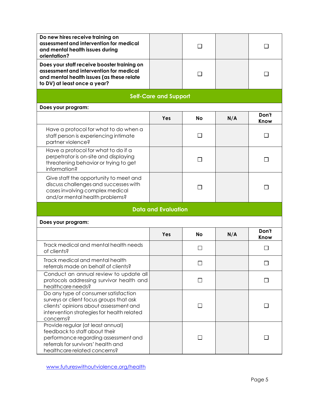| Do new hires receive training on<br>assessment and intervention for medical<br>and mental health issues during<br>orientation?                                                       |                              | П            |     |               |  |  |
|--------------------------------------------------------------------------------------------------------------------------------------------------------------------------------------|------------------------------|--------------|-----|---------------|--|--|
| Does your staff receive booster training on<br>assessment and intervention for medical<br>and mental health issues (as these relate<br>to DV) at least once a year?                  |                              | П            |     |               |  |  |
|                                                                                                                                                                                      | <b>Self-Care and Support</b> |              |     |               |  |  |
| Does your program:                                                                                                                                                                   |                              |              |     |               |  |  |
|                                                                                                                                                                                      | Yes                          | <b>No</b>    | N/A | Don't<br>Know |  |  |
| Have a protocol for what to do when a<br>staff person is experiencing intimate<br>partner violence?                                                                                  |                              | $\Box$       |     | $\mathsf{L}$  |  |  |
| Have a protocol for what to do if a<br>perpetrator is on-site and displaying<br>threatening behavior or trying to get<br>information?                                                |                              | $\Box$       |     |               |  |  |
| Give staff the opportunity to meet and<br>discuss challenges and successes with<br>cases involving complex medical<br>and/or mental health problems?                                 |                              | $\mathsf{L}$ |     |               |  |  |
|                                                                                                                                                                                      | <b>Data and Evaluation</b>   |              |     |               |  |  |
| Does your program:                                                                                                                                                                   |                              |              |     |               |  |  |
|                                                                                                                                                                                      | Yes                          | <b>No</b>    | N/A | Don't<br>Know |  |  |
| Track medical and mental health needs<br>of clients?                                                                                                                                 |                              | $\mathsf{L}$ |     |               |  |  |
| Track medical and mental health<br>referrals made on behalf of clients?                                                                                                              |                              | $\Box$       |     | $\Box$        |  |  |
| Conduct an annual review to update all<br>protocols addressing survivor health and<br>healthcare needs?                                                                              |                              | $\Box$       |     |               |  |  |
| Do any type of consumer satisfaction<br>surveys or client focus groups that ask<br>clients' opinions about assessment and<br>intervention strategies for health related<br>concerns? |                              | П            |     |               |  |  |
| Provide regular (at least annual)<br>feedback to staff about their<br>performance regarding assessment and<br>referrals for survivors' health and<br>healthcare related concerns?    |                              |              |     |               |  |  |